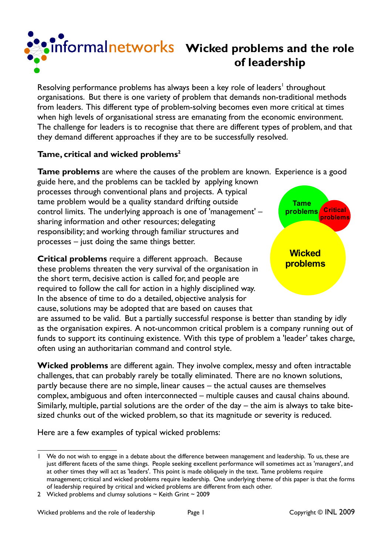

## **Winformalnetworks** Wicked problems and the role **of leadership**

Resolving performance problems has always been a key role of leaders<sup>[1](#page-0-0)</sup> throughout organisations. But there is one variety of problem that demands non-traditional methods from leaders. This different type of problem-solving becomes even more critical at times when high levels of organisational stress are emanating from the economic environment. The challenge for leaders is to recognise that there are different types of problem, and that they demand different approaches if they are to be successfully resolved.

## **Tame, critical and wicked problems[2](#page-0-1)**

**Tame problems** are where the causes of the problem are known. Experience is a good

guide here, and the problems can be tackled by applying known processes through conventional plans and projects. A typical tame problem would be a quality standard drifting outside control limits. The underlying approach is one of 'management' – sharing information and other resources; delegating responsibility; and working through familiar structures and processes – just doing the same things better.

**Critical problems** require a different approach. Because these problems threaten the very survival of the organisation in the short term, decisive action is called for, and people are required to follow the call for action in a highly disciplined way. In the absence of time to do a detailed, objective analysis for cause, solutions may be adopted that are based on causes that



are assumed to be valid. But a partially successful response is better than standing by idly as the organisation expires. A not-uncommon critical problem is a company running out of funds to support its continuing existence. With this type of problem a 'leader' takes charge, often using an authoritarian command and control style.

**Wicked problems** are different again. They involve complex, messy and often intractable challenges, that can probably rarely be totally eliminated. There are no known solutions, partly because there are no simple, linear causes – the actual causes are themselves complex, ambiguous and often interconnected – multiple causes and causal chains abound. Similarly, multiple, partial solutions are the order of the day – the aim is always to take bitesized chunks out of the wicked problem, so that its magnitude or severity is reduced.

Here are a few examples of typical wicked problems:

<span id="page-0-0"></span>We do not wish to engage in a debate about the difference between management and leadership. To us, these are just different facets of the same things. People seeking excellent performance will sometimes act as 'managers', and at other times they will act as 'leaders'. This point is made obliquely in the text. Tame problems require management; critical and wicked problems require leadership. One underlying theme of this paper is that the forms of leadership required by critical and wicked problems are different from each other.

<span id="page-0-1"></span><sup>2</sup> Wicked problems and clumsy solutions  $\sim$  Keith Grint  $\sim$  2009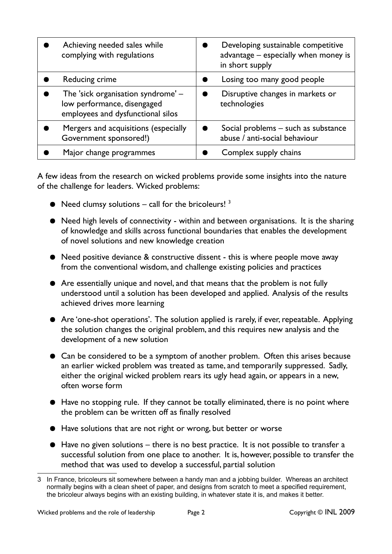| Achieving needed sales while<br>complying with regulations                                             | Developing sustainable competitive<br>advantage - especially when money is<br>in short supply |
|--------------------------------------------------------------------------------------------------------|-----------------------------------------------------------------------------------------------|
| Reducing crime                                                                                         | Losing too many good people                                                                   |
| The 'sick organisation syndrome' -<br>low performance, disengaged<br>employees and dysfunctional silos | Disruptive changes in markets or<br>technologies                                              |
| Mergers and acquisitions (especially<br>Government sponsored!)                                         | Social problems - such as substance<br>abuse / anti-social behaviour                          |
| Major change programmes                                                                                | Complex supply chains                                                                         |

A few ideas from the research on wicked problems provide some insights into the nature of the challenge for leaders. Wicked problems:

- $\bullet$  Need clumsy solutions call for the bricoleurs!  $3$
- Need high levels of connectivity within and between organisations. It is the sharing of knowledge and skills across functional boundaries that enables the development of novel solutions and new knowledge creation
- Need positive deviance & constructive dissent this is where people move away from the conventional wisdom, and challenge existing policies and practices
- Are essentially unique and novel, and that means that the problem is not fully understood until a solution has been developed and applied. Analysis of the results achieved drives more learning
- Are 'one-shot operations'. The solution applied is rarely, if ever, repeatable. Applying the solution changes the original problem, and this requires new analysis and the development of a new solution
- Can be considered to be a symptom of another problem. Often this arises because an earlier wicked problem was treated as tame, and temporarily suppressed. Sadly, either the original wicked problem rears its ugly head again, or appears in a new, often worse form
- Have no stopping rule. If they cannot be totally eliminated, there is no point where the problem can be written off as finally resolved
- Have solutions that are not right or wrong, but better or worse
- Have no given solutions there is no best practice. It is not possible to transfer a successful solution from one place to another. It is, however, possible to transfer the method that was used to develop a successful, partial solution

<span id="page-1-0"></span><sup>3</sup> In France, bricoleurs sit somewhere between a handy man and a jobbing builder. Whereas an architect normally begins with a clean sheet of paper, and designs from scratch to meet a specified requirement, the bricoleur always begins with an existing building, in whatever state it is, and makes it better.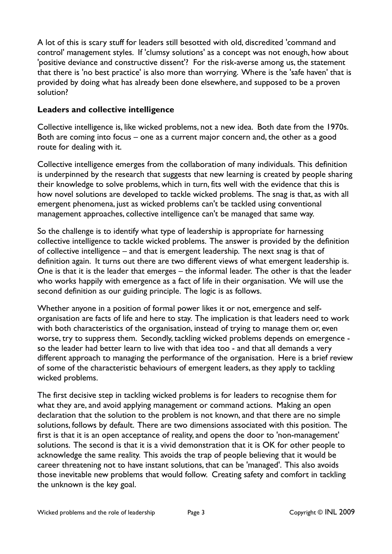A lot of this is scary stuff for leaders still besotted with old, discredited 'command and control' management styles. If 'clumsy solutions' as a concept was not enough, how about 'positive deviance and constructive dissent'? For the risk-averse among us, the statement that there is 'no best practice' is also more than worrying. Where is the 'safe haven' that is provided by doing what has already been done elsewhere, and supposed to be a proven solution?

## **Leaders and collective intelligence**

Collective intelligence is, like wicked problems, not a new idea. Both date from the 1970s. Both are coming into focus – one as a current major concern and, the other as a good route for dealing with it.

Collective intelligence emerges from the collaboration of many individuals. This definition is underpinned by the research that suggests that new learning is created by people sharing their knowledge to solve problems, which in turn, fits well with the evidence that this is how novel solutions are developed to tackle wicked problems. The snag is that, as with all emergent phenomena, just as wicked problems can't be tackled using conventional management approaches, collective intelligence can't be managed that same way.

So the challenge is to identify what type of leadership is appropriate for harnessing collective intelligence to tackle wicked problems. The answer is provided by the definition of collective intelligence – and that is emergent leadership. The next snag is that of definition again. It turns out there are two different views of what emergent leadership is. One is that it is the leader that emerges – the informal leader. The other is that the leader who works happily with emergence as a fact of life in their organisation. We will use the second definition as our guiding principle. The logic is as follows.

Whether anyone in a position of formal power likes it or not, emergence and selforganisation are facts of life and here to stay. The implication is that leaders need to work with both characteristics of the organisation, instead of trying to manage them or, even worse, try to suppress them. Secondly, tackling wicked problems depends on emergence so the leader had better learn to live with that idea too - and that all demands a very different approach to managing the performance of the organisation. Here is a brief review of some of the characteristic behaviours of emergent leaders, as they apply to tackling wicked problems.

The first decisive step in tackling wicked problems is for leaders to recognise them for what they are, and avoid applying management or command actions. Making an open declaration that the solution to the problem is not known, and that there are no simple solutions, follows by default. There are two dimensions associated with this position. The first is that it is an open acceptance of reality, and opens the door to 'non-management' solutions. The second is that it is a vivid demonstration that it is OK for other people to acknowledge the same reality. This avoids the trap of people believing that it would be career threatening not to have instant solutions, that can be 'managed'. This also avoids those inevitable new problems that would follow. Creating safety and comfort in tackling the unknown is the key goal.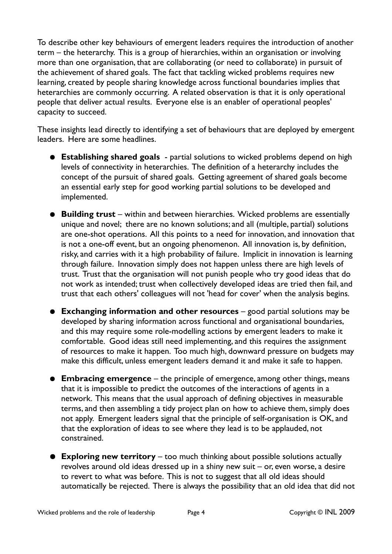To describe other key behaviours of emergent leaders requires the introduction of another term – the heterarchy. This is a group of hierarchies, within an organisation or involving more than one organisation, that are collaborating (or need to collaborate) in pursuit of the achievement of shared goals. The fact that tackling wicked problems requires new learning, created by people sharing knowledge across functional boundaries implies that heterarchies are commonly occurring. A related observation is that it is only operational people that deliver actual results. Everyone else is an enabler of operational peoples' capacity to succeed.

These insights lead directly to identifying a set of behaviours that are deployed by emergent leaders. Here are some headlines.

- **Establishing shared goals** partial solutions to wicked problems depend on high levels of connectivity in heterarchies. The definition of a heterarchy includes the concept of the pursuit of shared goals. Getting agreement of shared goals become an essential early step for good working partial solutions to be developed and implemented.
- **Building trust** within and between hierarchies. Wicked problems are essentially unique and novel; there are no known solutions; and all (multiple, partial) solutions are one-shot operations. All this points to a need for innovation, and innovation that is not a one-off event, but an ongoing phenomenon. All innovation is, by definition, risky, and carries with it a high probability of failure. Implicit in innovation is learning through failure. Innovation simply does not happen unless there are high levels of trust. Trust that the organisation will not punish people who try good ideas that do not work as intended; trust when collectively developed ideas are tried then fail, and trust that each others' colleagues will not 'head for cover' when the analysis begins.
- **Exchanging information and other resources** good partial solutions may be developed by sharing information across functional and organisational boundaries, and this may require some role-modelling actions by emergent leaders to make it comfortable. Good ideas still need implementing, and this requires the assignment of resources to make it happen. Too much high, downward pressure on budgets may make this difficult, unless emergent leaders demand it and make it safe to happen.
- **Embracing emergence** the principle of emergence, among other things, means that it is impossible to predict the outcomes of the interactions of agents in a network. This means that the usual approach of defining objectives in measurable terms, and then assembling a tidy project plan on how to achieve them, simply does not apply. Emergent leaders signal that the principle of self-organisation is OK, and that the exploration of ideas to see where they lead is to be applauded, not constrained.
- **Exploring new territory** too much thinking about possible solutions actually revolves around old ideas dressed up in a shiny new suit – or, even worse, a desire to revert to what was before. This is not to suggest that all old ideas should automatically be rejected. There is always the possibility that an old idea that did not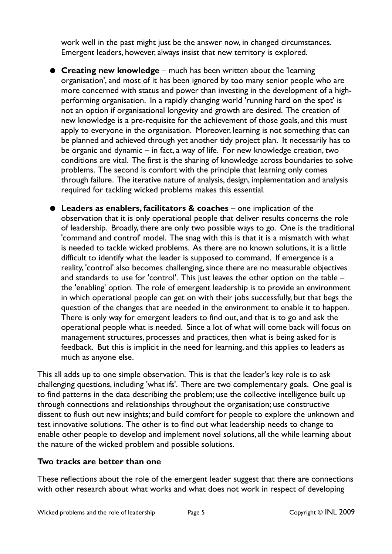work well in the past might just be the answer now, in changed circumstances. Emergent leaders, however, always insist that new territory is explored.

- **Creating new knowledge** much has been written about the 'learning organisation', and most of it has been ignored by too many senior people who are more concerned with status and power than investing in the development of a highperforming organisation. In a rapidly changing world 'running hard on the spot' is not an option if organisational longevity and growth are desired. The creation of new knowledge is a pre-requisite for the achievement of those goals, and this must apply to everyone in the organisation. Moreover, learning is not something that can be planned and achieved through yet another tidy project plan. It necessarily has to be organic and dynamic – in fact, a way of life. For new knowledge creation, two conditions are vital. The first is the sharing of knowledge across boundaries to solve problems. The second is comfort with the principle that learning only comes through failure. The iterative nature of analysis, design, implementation and analysis required for tackling wicked problems makes this essential.
- **Leaders as enablers, facilitators & coaches** one implication of the observation that it is only operational people that deliver results concerns the role of leadership. Broadly, there are only two possible ways to go. One is the traditional 'command and control' model. The snag with this is that it is a mismatch with what is needed to tackle wicked problems. As there are no known solutions, it is a little difficult to identify what the leader is supposed to command. If emergence is a reality, 'control' also becomes challenging, since there are no measurable objectives and standards to use for 'control'. This just leaves the other option on the table – the 'enabling' option. The role of emergent leadership is to provide an environment in which operational people can get on with their jobs successfully, but that begs the question of the changes that are needed in the environment to enable it to happen. There is only way for emergent leaders to find out, and that is to go and ask the operational people what is needed. Since a lot of what will come back will focus on management structures, processes and practices, then what is being asked for is feedback. But this is implicit in the need for learning, and this applies to leaders as much as anyone else.

This all adds up to one simple observation. This is that the leader's key role is to ask challenging questions, including 'what ifs'. There are two complementary goals. One goal is to find patterns in the data describing the problem; use the collective intelligence built up through connections and relationships throughout the organisation; use constructive dissent to flush out new insights; and build comfort for people to explore the unknown and test innovative solutions. The other is to find out what leadership needs to change to enable other people to develop and implement novel solutions, all the while learning about the nature of the wicked problem and possible solutions.

## **Two tracks are better than one**

These reflections about the role of the emergent leader suggest that there are connections with other research about what works and what does not work in respect of developing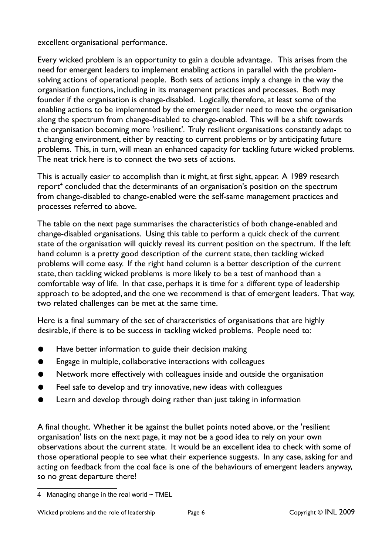excellent organisational performance.

Every wicked problem is an opportunity to gain a double advantage. This arises from the need for emergent leaders to implement enabling actions in parallel with the problemsolving actions of operational people. Both sets of actions imply a change in the way the organisation functions, including in its management practices and processes. Both may founder if the organisation is change-disabled. Logically, therefore, at least some of the enabling actions to be implemented by the emergent leader need to move the organisation along the spectrum from change-disabled to change-enabled. This will be a shift towards the organisation becoming more 'resilient'. Truly resilient organisations constantly adapt to a changing environment, either by reacting to current problems or by anticipating future problems. This, in turn, will mean an enhanced capacity for tackling future wicked problems. The neat trick here is to connect the two sets of actions.

This is actually easier to accomplish than it might, at first sight, appear. A 1989 research report<sup>[4](#page-5-0)</sup> concluded that the determinants of an organisation's position on the spectrum from change-disabled to change-enabled were the self-same management practices and processes referred to above.

The table on the next page summarises the characteristics of both change-enabled and change-disabled organisations. Using this table to perform a quick check of the current state of the organisation will quickly reveal its current position on the spectrum. If the left hand column is a pretty good description of the current state, then tackling wicked problems will come easy. If the right hand column is a better description of the current state, then tackling wicked problems is more likely to be a test of manhood than a comfortable way of life. In that case, perhaps it is time for a different type of leadership approach to be adopted, and the one we recommend is that of emergent leaders. That way, two related challenges can be met at the same time.

Here is a final summary of the set of characteristics of organisations that are highly desirable, if there is to be success in tackling wicked problems. People need to:

- Have better information to guide their decision making
- Engage in multiple, collaborative interactions with colleagues
- Network more effectively with colleagues inside and outside the organisation
- Feel safe to develop and try innovative, new ideas with colleagues
- Learn and develop through doing rather than just taking in information

A final thought. Whether it be against the bullet points noted above, or the 'resilient organisation' lists on the next page, it may not be a good idea to rely on your own observations about the current state. It would be an excellent idea to check with some of those operational people to see what their experience suggests. In any case, asking for and acting on feedback from the coal face is one of the behaviours of emergent leaders anyway, so no great departure there!

<span id="page-5-0"></span><sup>4</sup> Managing change in the real world  $\sim$  TMEL